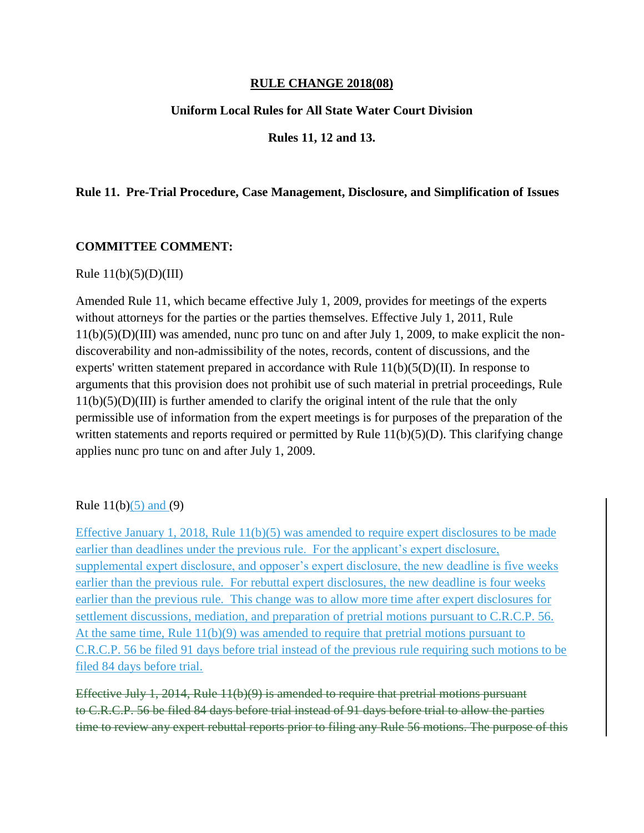### **RULE CHANGE 2018(08)**

## **Uniform Local Rules for All State Water Court Division**

### **Rules 11, 12 and 13.**

### **Rule 11. Pre-Trial Procedure, Case Management, Disclosure, and Simplification of Issues**

#### **COMMITTEE COMMENT:**

#### Rule  $11(b)(5)(D)(III)$

Amended Rule 11, which became effective July 1, 2009, provides for meetings of the experts without attorneys for the parties or the parties themselves. Effective July 1, 2011, Rule 11(b)(5)(D)(III) was amended, nunc pro tunc on and after July 1, 2009, to make explicit the nondiscoverability and non-admissibility of the notes, records, content of discussions, and the experts' written statement prepared in accordance with Rule 11(b)(5(D)(II). In response to arguments that this provision does not prohibit use of such material in pretrial proceedings, Rule 11(b)(5)(D)(III) is further amended to clarify the original intent of the rule that the only permissible use of information from the expert meetings is for purposes of the preparation of the written statements and reports required or permitted by Rule  $11(b)(5)(D)$ . This clarifying change applies nunc pro tunc on and after July 1, 2009.

#### Rule  $11(b)(5)$  and (9)

Effective January 1, 2018, Rule 11(b)(5) was amended to require expert disclosures to be made earlier than deadlines under the previous rule. For the applicant's expert disclosure, supplemental expert disclosure, and opposer's expert disclosure, the new deadline is five weeks earlier than the previous rule. For rebuttal expert disclosures, the new deadline is four weeks earlier than the previous rule. This change was to allow more time after expert disclosures for settlement discussions, mediation, and preparation of pretrial motions pursuant to C.R.C.P. 56. At the same time, Rule 11(b)(9) was amended to require that pretrial motions pursuant to C.R.C.P. 56 be filed 91 days before trial instead of the previous rule requiring such motions to be filed 84 days before trial.

Effective July 1, 2014, Rule 11(b)(9) is amended to require that pretrial motions pursuant to C.R.C.P. 56 be filed 84 days before trial instead of 91 days before trial to allow the parties time to review any expert rebuttal reports prior to filing any Rule 56 motions. The purpose of this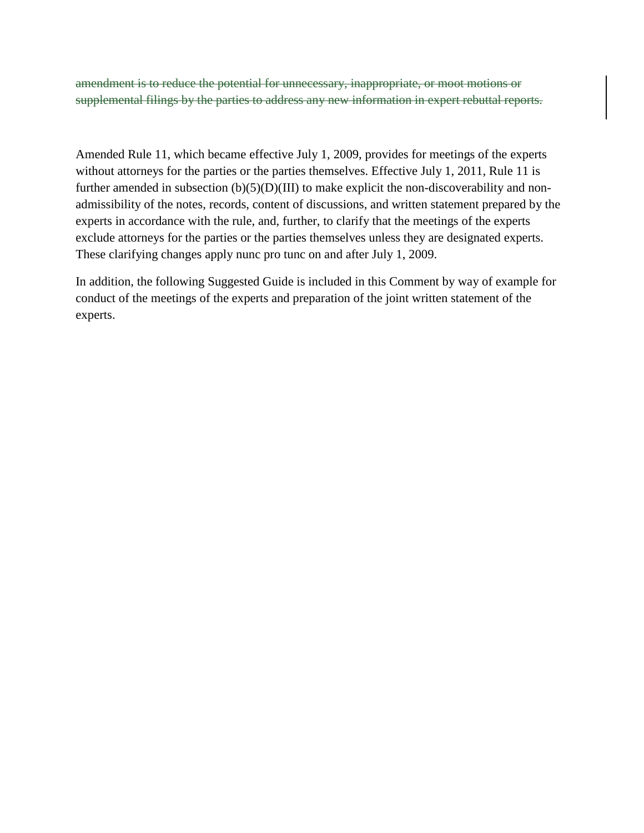amendment is to reduce the potential for unnecessary, inappropriate, or moot motions or supplemental filings by the parties to address any new information in expert rebuttal reports.

Amended Rule 11, which became effective July 1, 2009, provides for meetings of the experts without attorneys for the parties or the parties themselves. Effective July 1, 2011, Rule 11 is further amended in subsection  $(b)(5)(D)(III)$  to make explicit the non-discoverability and nonadmissibility of the notes, records, content of discussions, and written statement prepared by the experts in accordance with the rule, and, further, to clarify that the meetings of the experts exclude attorneys for the parties or the parties themselves unless they are designated experts. These clarifying changes apply nunc pro tunc on and after July 1, 2009.

In addition, the following Suggested Guide is included in this Comment by way of example for conduct of the meetings of the experts and preparation of the joint written statement of the experts.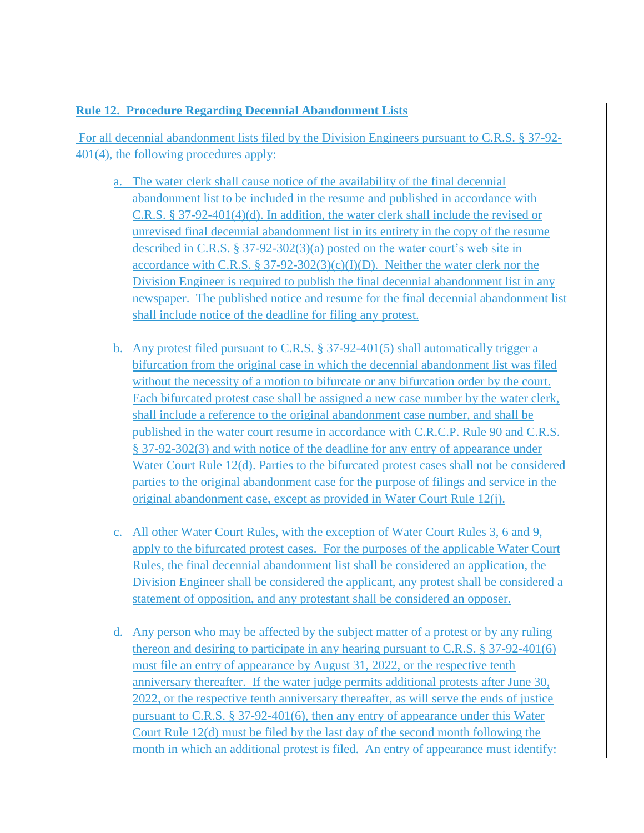# **Rule 12. Procedure Regarding Decennial Abandonment Lists**

For all decennial abandonment lists filed by the Division Engineers pursuant to C.R.S. § 37-92- 401(4), the following procedures apply:

- a. The water clerk shall cause notice of the availability of the final decennial abandonment list to be included in the resume and published in accordance with C.R.S. § 37-92-401(4)(d). In addition, the water clerk shall include the revised or unrevised final decennial abandonment list in its entirety in the copy of the resume described in C.R.S. § 37-92-302(3)(a) posted on the water court's web site in accordance with C.R.S. § 37-92-302(3)(c)(I)(D). Neither the water clerk nor the Division Engineer is required to publish the final decennial abandonment list in any newspaper. The published notice and resume for the final decennial abandonment list shall include notice of the deadline for filing any protest.
- b. Any protest filed pursuant to C.R.S. § 37-92-401(5) shall automatically trigger a bifurcation from the original case in which the decennial abandonment list was filed without the necessity of a motion to bifurcate or any bifurcation order by the court. Each bifurcated protest case shall be assigned a new case number by the water clerk, shall include a reference to the original abandonment case number, and shall be published in the water court resume in accordance with C.R.C.P. Rule 90 and C.R.S. § 37-92-302(3) and with notice of the deadline for any entry of appearance under Water Court Rule 12(d). Parties to the bifurcated protest cases shall not be considered parties to the original abandonment case for the purpose of filings and service in the original abandonment case, except as provided in Water Court Rule 12(j).
- c. All other Water Court Rules, with the exception of Water Court Rules 3, 6 and 9, apply to the bifurcated protest cases. For the purposes of the applicable Water Court Rules, the final decennial abandonment list shall be considered an application, the Division Engineer shall be considered the applicant, any protest shall be considered a statement of opposition, and any protestant shall be considered an opposer.
- d. Any person who may be affected by the subject matter of a protest or by any ruling thereon and desiring to participate in any hearing pursuant to C.R.S.  $\S 37-92-401(6)$ must file an entry of appearance by August 31, 2022, or the respective tenth anniversary thereafter. If the water judge permits additional protests after June 30, 2022, or the respective tenth anniversary thereafter, as will serve the ends of justice pursuant to C.R.S. § 37-92-401(6), then any entry of appearance under this Water Court Rule 12(d) must be filed by the last day of the second month following the month in which an additional protest is filed. An entry of appearance must identify: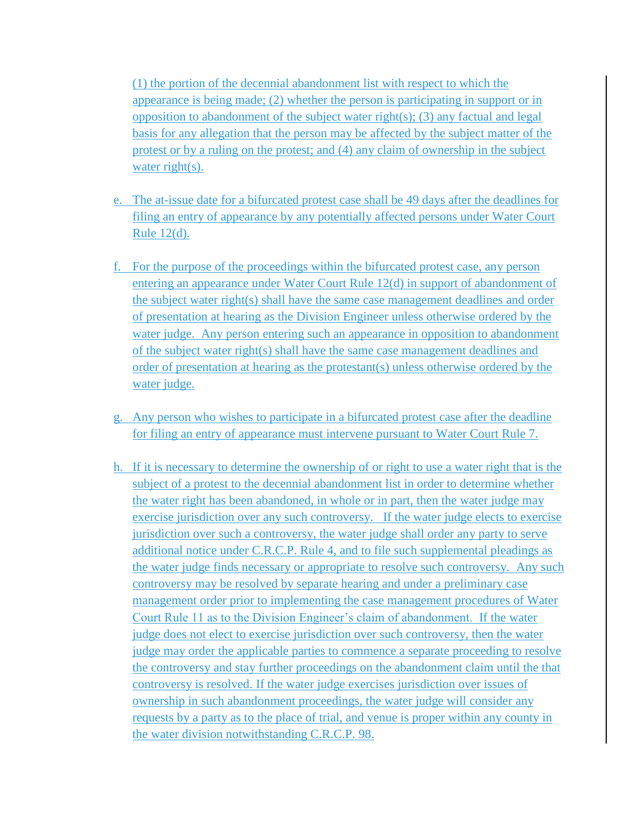(1) the portion of the decennial abandonment list with respect to which the appearance is being made; (2) whether the person is participating in support or in opposition to abandonment of the subject water right(s); (3) any factual and legal basis for any allegation that the person may be affected by the subject matter of the protest or by a ruling on the protest; and (4) any claim of ownership in the subject water right(s).

- e. The at-issue date for a bifurcated protest case shall be 49 days after the deadlines for filing an entry of appearance by any potentially affected persons under Water Court Rule 12(d).
- f. For the purpose of the proceedings within the bifurcated protest case, any person entering an appearance under Water Court Rule 12(d) in support of abandonment of the subject water right(s) shall have the same case management deadlines and order of presentation at hearing as the Division Engineer unless otherwise ordered by the water judge. Any person entering such an appearance in opposition to abandonment of the subject water right(s) shall have the same case management deadlines and order of presentation at hearing as the protestant(s) unless otherwise ordered by the water judge.
- g. Any person who wishes to participate in a bifurcated protest case after the deadline for filing an entry of appearance must intervene pursuant to Water Court Rule 7.
- h. If it is necessary to determine the ownership of or right to use a water right that is the subject of a protest to the decennial abandonment list in order to determine whether the water right has been abandoned, in whole or in part, then the water judge may exercise jurisdiction over any such controversy. If the water judge elects to exercise jurisdiction over such a controversy, the water judge shall order any party to serve additional notice under C.R.C.P. Rule 4, and to file such supplemental pleadings as the water judge finds necessary or appropriate to resolve such controversy. Any such controversy may be resolved by separate hearing and under a preliminary case management order prior to implementing the case management procedures of Water Court Rule 11 as to the Division Engineer's claim of abandonment. If the water judge does not elect to exercise jurisdiction over such controversy, then the water judge may order the applicable parties to commence a separate proceeding to resolve the controversy and stay further proceedings on the abandonment claim until the that controversy is resolved. If the water judge exercises jurisdiction over issues of ownership in such abandonment proceedings, the water judge will consider any requests by a party as to the place of trial, and venue is proper within any county in the water division notwithstanding C.R.C.P. 98.